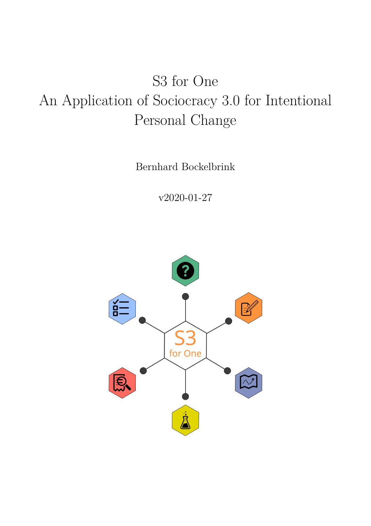## S3 for One An Application of Sociocracy 3.0 for Intentional Personal Change

Bernhard Bockelbrink

v2020-01-27

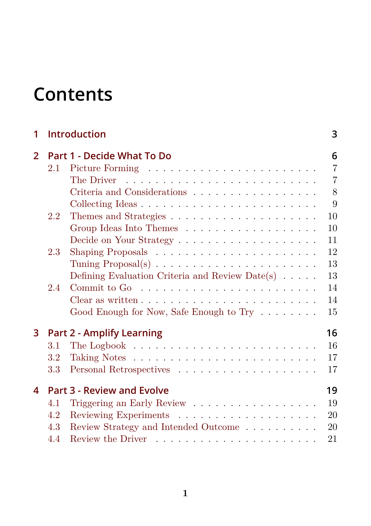## **Con[tents](#page-13-1)**

| 1            |                                   | <b>Introduction</b>                                                 | 3              |  |  |
|--------------|-----------------------------------|---------------------------------------------------------------------|----------------|--|--|
| $\mathbf{2}$ |                                   | Part 1 - Decide What To Do                                          | 6              |  |  |
|              | 2.1                               |                                                                     | $\overline{7}$ |  |  |
|              |                                   |                                                                     | $\overline{7}$ |  |  |
|              |                                   | Criteria and Considerations                                         | 8              |  |  |
|              |                                   |                                                                     | 9              |  |  |
|              | 2.2                               |                                                                     | 10             |  |  |
|              |                                   | Group Ideas Into Themes                                             | 10             |  |  |
|              |                                   |                                                                     | 11             |  |  |
|              | 2.3                               | Shaping Proposals $\dots \dots \dots \dots \dots \dots \dots \dots$ | 12             |  |  |
|              |                                   |                                                                     | 13             |  |  |
|              |                                   | Defining Evaluation Criteria and Review Date(s) $\dots$ .           | 13             |  |  |
|              | 2.4                               |                                                                     | 14             |  |  |
|              |                                   |                                                                     | 14             |  |  |
|              |                                   | Good Enough for Now, Safe Enough to Try                             | 15             |  |  |
| 3            |                                   | <b>Part 2 - Amplify Learning</b>                                    | 16             |  |  |
|              | $3.1\,$                           |                                                                     | 16             |  |  |
|              | 3.2                               |                                                                     | 17             |  |  |
|              | 3.3                               |                                                                     | 17             |  |  |
| 4            | <b>Part 3 - Review and Evolve</b> |                                                                     |                |  |  |
|              | 4.1                               | Triggering an Early Review                                          | 19             |  |  |
|              | 4.2                               |                                                                     | 20             |  |  |
|              | 4.3                               | Review Strategy and Intended Outcome                                | 20             |  |  |
|              | 4.4                               |                                                                     | 21             |  |  |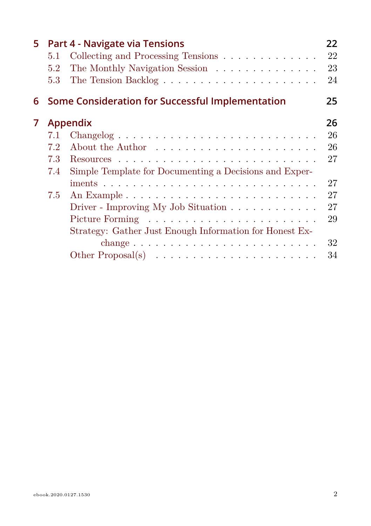| 5. | 5.1<br>5.2<br>5.3        | Part 4 - Navigate via Tensions<br>Collecting and Processing Tensions<br>The Monthly Navigation Session                                                                                                                                                                          | 22<br>22<br>23<br>24             |
|----|--------------------------|---------------------------------------------------------------------------------------------------------------------------------------------------------------------------------------------------------------------------------------------------------------------------------|----------------------------------|
| 6  |                          | Some Consideration for Successful Implementation                                                                                                                                                                                                                                | 25                               |
| 7  | 7.1<br>7.2<br>7.3<br>7.4 | <b>Appendix</b><br>Simple Template for Documenting a Decisions and Exper-                                                                                                                                                                                                       | 26<br>26<br>26<br>27             |
|    | 7.5                      | Driver - Improving My Job Situation $\ldots \ldots \ldots \ldots$<br>Strategy: Gather Just Enough Information for Honest Ex-<br>change $\ldots \ldots \ldots \ldots \ldots \ldots \ldots \ldots \ldots$<br>Other Proposal(s) $\ldots \ldots \ldots \ldots \ldots \ldots \ldots$ | 27<br>27<br>27<br>29<br>32<br>34 |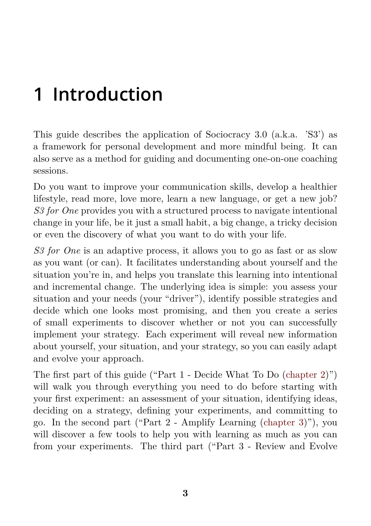## **1 Introduction**

This guide describes the application of Sociocracy 3.0 (a.k.a. 'S3') as a framework for personal development and more mindful being. It can also serve as a method for guiding and documenting one-on-one coaching sessions.

Do you want to improve your communication skills, develop a healthier lifestyle, read more, love more, learn a new language, or ge[t a new jo](#page-6-0)b? *S3 for One* provides you with a structured process to navigate intentional change in your life, be it just a small habit, a big change, a tricky decision or even the discovery of what you want to do with your life.

*S3 for One* is an adaptive process, it allows you to go [as fast or](#page-16-0) as slow as you want (or can). It facilitates understanding about yourself and the situation you're in, and helps you translate this learning into intentional and incremental change. The underlying idea is simple: you assess your situation and your needs (your "driver"), identify possible strategies and decide which one looks most promising, and then you create a series of small experiments to discover whether or not you can successfully implement your strategy. Each experiment will reveal new information about yourself, your situation, and your strategy, so you can easily adapt and evolve your approach.

The first part of this guide ("Part 1 - Decide What To Do (chapter 2)") will walk you through everything you need to do before starting with your first experiment: an assessment of your situation, identifying ideas, deciding on a strategy, defining your experiments, and committing to go. In the second part ("Part 2 - Amplify Learning (chapter 3)"), you will discover a few tools to help you with learning as much as you can from your experiments. The third part ("Part 3 - Review and Evolve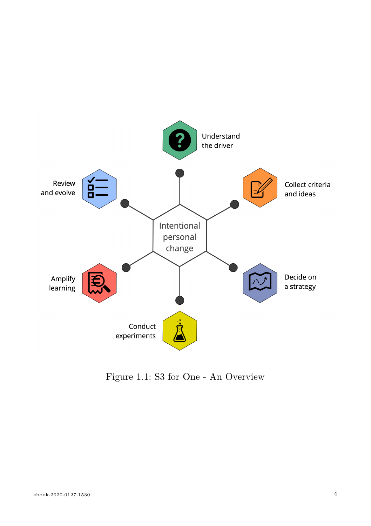

Figure 1.1: S3 for One - An Overview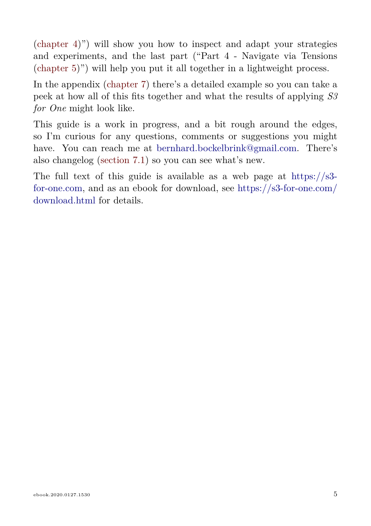(chapter 4)") will show you how to inspect and adapt your strategies and experiments, and the last part ("Part 4 - Navigate via Tensions (chapter 5)") will help you put it all together in a lightweight process.

In the appendix (chapter 7) there's a detailed example so you can take a peek at how all of this fits together and what the results of applying *S3 for One* might look like.

This guide is a work in progress, and a bit rough around the edges, so I'm curious for any questions, comments or suggestions you might have. You can reach me at bernhard.bockelbrink@gmail.com. There's also changelog (section 7.1) so you can see what's new.

The full text of this guide is available as a web page at https://s3 for-one.com, and as an ebook for download, see https://s3-for-one.com/ download.html for details.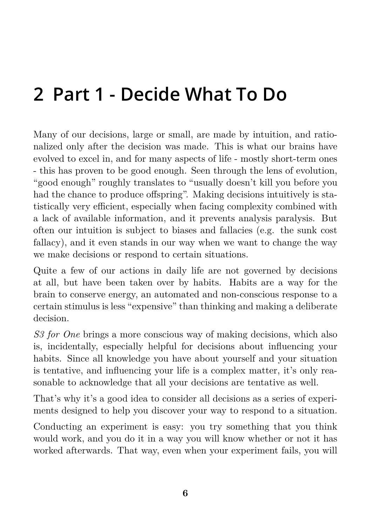## <span id="page-6-0"></span>**2 Part 1 - Decide What To Do**

Many of our decisions, large or small, are made by intuition, and rationalized only after the decision was made. This is what our brains have evolved to excel in, and for many aspects of life - mostly short-term ones - this has proven to be good enough. Seen through the lens of evolution, "good enough" roughly translates to "usually doesn't kill you before you had the chance to produce offspring". Making decisions intuitively is statistically very efficient, especially when facing complexity combined with a lack of available information, and it prevents analysis paralysis. But often our intuition is subject to biases and fallacies (e.g. the sunk cost fallacy), and it even stands in our way when we want to change the way we make decisions or respond to certain situations.

Quite a few of our actions in daily life are not governed by decisions at all, but have been taken over by habits. Habits are a way for the brain to conserve energy, an automated and non-conscious response to a certain stimulus is less "expensive" than thinking and making a deliberate decision.

*S3 for One* brings a more conscious way of making decisions, which also is, incidentally, especially helpful for decisions about influencing your habits. Since all knowledge you have about yourself and your situation is tentative, and influencing your life is a complex matter, it's only reasonable to acknowledge that all your decisions are tentative as well.

That's why it's a good idea to consider all decisions as a series of experiments designed to help you discover your way to respond to a situation.

Conducting an experiment is easy: you try something that you think would work, and you do it in a way you will know whether or not it has worked afterwards. That way, even when your experiment fails, you will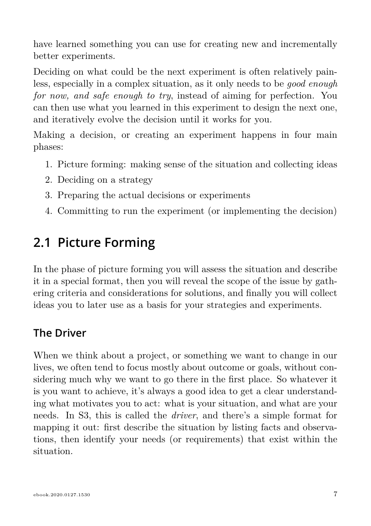have learned something you can use for creating new and incrementally better experiments.

Deciding on what could be the next experiment is often relatively painless, especially in a complex situation, as it only needs to be *good enough for now, and safe enough to try*, instead of aiming for perfection. You can then use what you learned in this experiment to design the next one, and iteratively evolve the decision until it works for you.

Making a decision, or creating an experiment happens in four main phases:

- 1. Picture forming: making sense of the situation and collecting ideas
- 2. Deciding on a strategy
- 3. Preparing the actual decisions or experiments
- 4. Committing to run the experiment (or implementing the decision)

## **2.1 Picture Forming**

In the phase of picture forming you will assess the situation and describe it in a special format, then you will reveal the scope of the issue by gathering criteria and considerations for solutions, and finally you will collect ideas you to later use as a basis for your strategies and experiments.

### **The Driver**

When we think about a project, or something we want to change in our lives, we often tend to focus mostly about outcome or goals, without considering much why we want to go there in the first place. So whatever it is you want to achieve, it's always a good idea to get a clear understanding what motivates you to act: what is your situation, and what are your needs. In S3, this is called the *driver*, and there's a simple format for mapping it out: first describe the situation by listing facts and observations, then identify your needs (or requirements) that exist within the situation.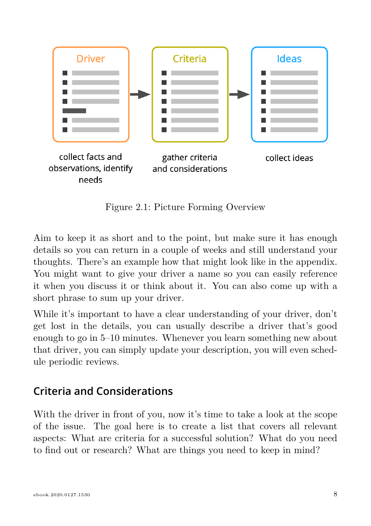

Figure 2.1: Picture Forming Overview

Aim to keep it as short and to the point, but make sure it has enough details so you can return in a couple of weeks and still understand your thoughts. There's an example how that might look like in the appendix. You might want to give your driver a name so you can easily reference it when you discuss it or think about it. You can also come up with a short phrase to sum up your driver.

While it's important to have a clear understanding of your driver, don't get lost in the details, you can usually describe a driver that's good enough to go in 5–10 minutes. Whenever you learn something new about that driver, you can simply update your description, you will even schedule periodic reviews.

#### **Criteria and Considerations**

With the driver in front of you, now it's time to take a look at the scope of the issue. The goal here is to create a list that covers all relevant aspects: What are criteria for a successful solution? What do you need to find out or research? What are things you need to keep in mind?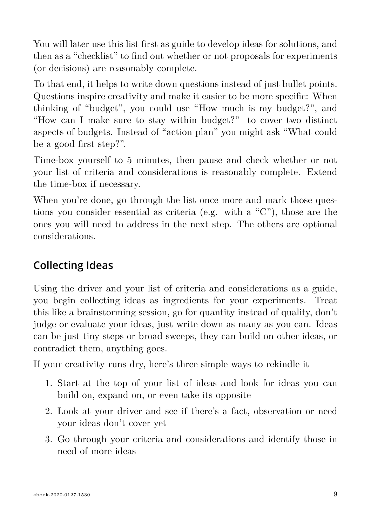You will later use this list first as guide to develop ideas for solutions, and then as a "checklist" to find out whether or not proposals for experiments (or decisions) are reasonably complete.

To that end, it helps to write down questions instead of just bullet points. Questions inspire creativity and make it easier to be more specific: When thinking of "budget", you could use "How much is my budget?", and "How can I make sure to stay within budget?" to cover two distinct aspects of budgets. Instead of "action plan" you might ask "What could be a good first step?".

Time-box yourself to 5 minutes, then pause and check whether or not your list of criteria and considerations is reasonably complete. Extend the time-box if necessary.

When you're done, go through the list once more and mark those questions you consider essential as criteria (e.g. with a "C"), those are the ones you will need to address in the next step. The others are optional considerations.

### **Collecting Ideas**

Using the driver and your list of criteria and considerations as a guide, you begin collecting ideas as ingredients for your experiments. Treat this like a brainstorming session, go for quantity instead of quality, don't judge or evaluate your ideas, just write down as many as you can. Ideas can be just tiny steps or broad sweeps, they can build on other ideas, or contradict them, anything goes.

If your creativity runs dry, here's three simple ways to rekindle it

- 1. Start at the top of your list of ideas and look for ideas you can build on, expand on, or even take its opposite
- 2. Look at your driver and see if there's a fact, observation or need your ideas don't cover yet
- 3. Go through your criteria and considerations and identify those in need of more ideas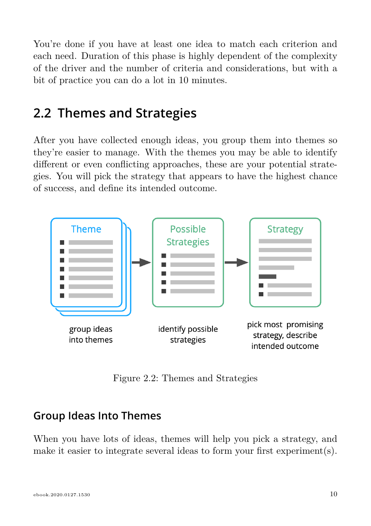You're done if you have at least one idea to match each criterion and each need. Duration of this phase is highly dependent of the complexity of the driver and the number of criteria and considerations, but with a bit of practice you can do a lot in 10 minutes.

### **2.2 Themes and Strategies**

After you have collected enough ideas, you group them into themes so they're easier to manage. With the themes you may be able to identify different or even conflicting approaches, these are your potential strategies. You will pick the strategy that appears to have the highest chance of success, and define its intended outcome.



Figure 2.2: Themes and Strategies

### **Group Ideas Into Themes**

When you have lots of ideas, themes will help you pick a strategy, and make it easier to integrate several ideas to form your first experiment(s).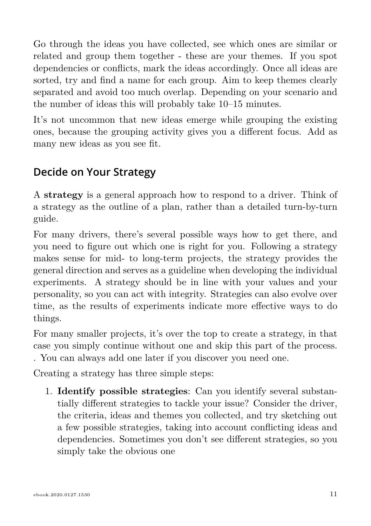Go through the ideas you have collected, see which ones are similar or related and group them together - these are your themes. If you spot dependencies or conflicts, mark the ideas accordingly. Once all ideas are sorted, try and find a name for each group. Aim to keep themes clearly separated and avoid too much overlap. Depending on your scenario and the number of ideas this will probably take 10–15 minutes.

It's not uncommon that new ideas emerge while grouping the existing ones, because the grouping activity gives you a different focus. Add as many new ideas as you see fit.

### **Decide on Your Strategy**

A **strategy** is a general approach how to respond to a driver. Think of a strategy as the outline of a plan, rather than a detailed turn-by-turn guide.

For many drivers, there's several possible ways how to get there, and you need to figure out which one is right for you. Following a strategy makes sense for mid- to long-term projects, the strategy provides the general direction and serves as a guideline when developing the individual experiments. A strategy should be in line with your values and your personality, so you can act with integrity. Strategies can also evolve over time, as the results of experiments indicate more effective ways to do things.

For many smaller projects, it's over the top to create a strategy, in that case you simply continue without one and skip this part of the process. . You can always add one later if you discover you need one.

Creating a strategy has three simple steps:

1. **Identify possible strategies**: Can you identify several substantially different strategies to tackle your issue? Consider the driver, the criteria, ideas and themes you collected, and try sketching out a few possible strategies, taking into account conflicting ideas and dependencies. Sometimes you don't see different strategies, so you simply take the obvious one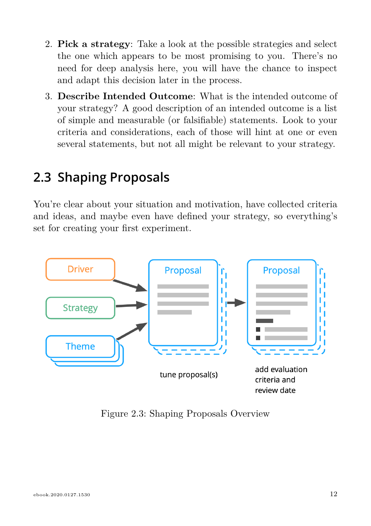- 2. **Pick a strategy**: Take a look at the possible strategies and select the one which appears to be most promising to you. There's no need for deep analysis here, you will have the chance to inspect and adapt this decision later in the process.
- 3. **Describe Intended Outcome**: What is the intended outcome of your strategy? A good description of an intended outcome is a list of simple and measurable (or falsifiable) statements. Look to your criteria and considerations, each of those will hint at one or even several statements, but not all might be relevant to your strategy.

### **2.3 Shaping Proposals**

You're clear about your situation and motivation, have collected criteria and ideas, and maybe even have defined your strategy, so everything's set for creating your first experiment.



Figure 2.3: Shaping Proposals Overview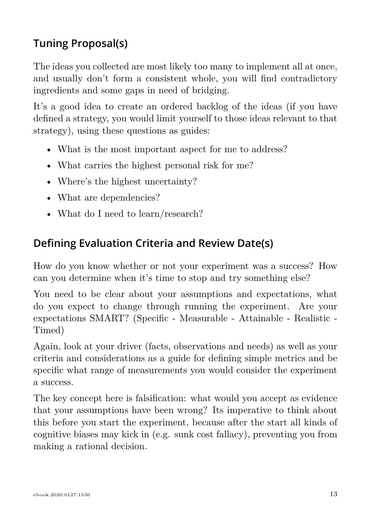### <span id="page-13-0"></span>**Tuning Proposal(s)**

The ideas you collected are most likely too many to implement all at once, and usually don't form a consistent whole, you will find contradictory ingredients and some gaps in need of bridging.

It's a good idea to create an ordered backlog of the ideas (if you have defined a strategy, you would limit yourself to those ideas relevant to that strategy), using these questions as guides:

- What is the most important aspect for me to address?
- What carries the highest personal risk for me?
- Where's the highest uncertainty?
- What are dependencies?
- What do I need to learn/research?

### <span id="page-13-1"></span>**Defining Evaluation Criteria and Review Date(s)**

How do you know whether or not your experiment was a success? How can you determine when it's time to stop and try something else?

You need to be clear about your assumptions and expectations, what do you expect to change through running the experiment. Are your expectations SMART? (Specific - Measurable - Attainable - Realistic - Timed)

Again, look at your driver (facts, observations and needs) as well as your criteria and considerations as a guide for defining simple metrics and be specific what range of measurements you would consider the experiment a success.

The key concept here is falsification: what would you accept as evidence that your assumptions have been wrong? Its imperative to think about this before you start the experiment, because after the start all kinds of cognitive biases may kick in (e.g. sunk cost fallacy), preventing you from making a rational decision.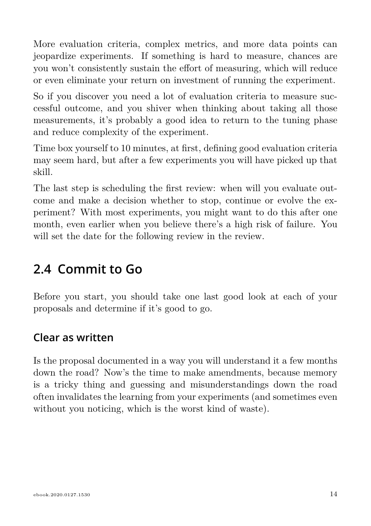More evaluation criteria, complex metrics, and more data points can jeopardize experiments. If something is hard to measure, chances are you won't consistently sustain the effort of measuring, which will reduce or even eliminate your return on investment of running the experiment.

So if you discover you need a lot of evaluation criteria to measure successful outcome, and you shiver when thinking about taking all those measurements, it's probably a good idea to return to the tuning phase and reduce complexity of the experiment.

Time box yourself to 10 minutes, at first, defining good evaluation criteria may seem hard, but after a few experiments you will have picked up that skill.

The last step is scheduling the first review: when will you evaluate outcome and make a decision whether to stop, continue or evolve the experiment? With most experiments, you might want to do this after one month, even earlier when you believe there's a high risk of failure. You will set the date for the following review in the review.

### **2.4 Commit to Go**

Before you start, you should take one last good look at each of your proposals and determine if it's good to go.

### <span id="page-14-0"></span>**Clear as written**

Is the proposal documented in a way you will understand it a few months down the road? Now's the time to make amendments, because memory is a tricky thing and guessing and misunderstandings down the road often invalidates the learning from your experiments (and sometimes even without you noticing, which is the worst kind of waste).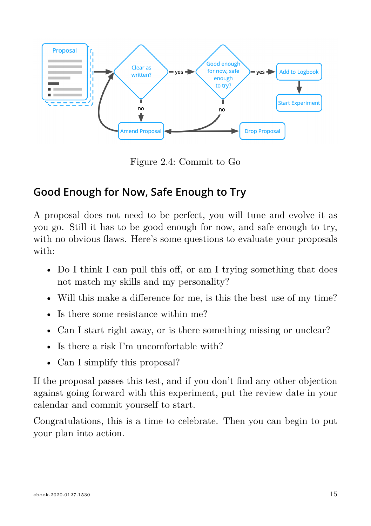

Figure 2.4: Commit to Go

### <span id="page-15-0"></span>**Good Enough for Now, Safe Enough to Try**

A proposal does not need to be perfect, you will tune and evolve it as you go. Still it has to be good enough for now, and safe enough to try, with no obvious flaws. Here's some questions to evaluate your proposals with:

- Do I think I can pull this off, or am I trying something that does not match my skills and my personality?
- Will this make a difference for me, is this the best use of my time?
- Is there some resistance within me?
- Can I start right away, or is there something missing or unclear?
- Is there a risk I'm uncomfortable with?
- Can I simplify this proposal?

If the proposal passes this test, and if you don't find any other objection against going forward with this experiment, put the review date in your calendar and commit yourself to start.

Congratulations, this is a time to celebrate. Then you can begin to put your plan into action.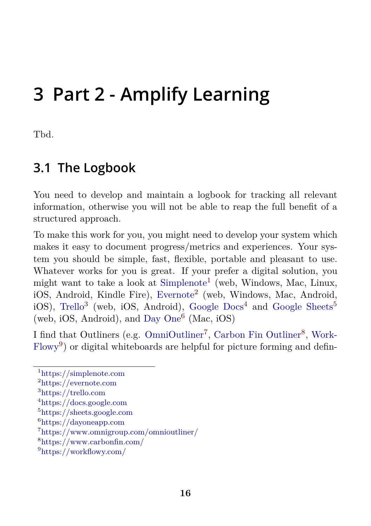## <span id="page-16-1"></span><span id="page-16-0"></span>**3 Part 2 - Am[plify L](https://simplenote.com)[e](#page-16-2)arning**

Tbd.

### **[3.1](https://workflowy.com/) [T](#page-16-3)he Logbook**

<span id="page-16-2"></span>Y[ou need to develop](https://simplenote.com) and maintain a logbook for tracking all relevant in[formation, otherw](https://evernote.com)ise you will not be able to reap the full benefit of a st[ructured approa](https://trello.com)ch.

<span id="page-16-3"></span>T[o make this work for yo](https://sheets.google.com)u, you might need to develop your system which m[akes it easy to docu](https://dayoneapp.com)ment progress/metrics and experiences. Your syste[m you should be simple, fast, flexibl](https://www.omnigroup.com/omnioutliner/)e, portable and pleasant to use. [Whatever works for you is](https://www.carbonfin.com/) great. If your prefer a digital solution, you m[ight want to take a](https://workflowy.com/) look at Simplenote<sup>1</sup> (web, Windows, Mac, Linux, iOS, Android, Kindle Fire), Evernote<sup>2</sup> (web, Windows, Mac, Android, iOS), Trello<sup>3</sup> (web, iOS, Android), Google Docs<sup>4</sup> and Google Sheets<sup>5</sup> (web, iOS, Android), and Day One<sup>6</sup> (Mac, iOS)

I find that Outliners (e.g. OmniOutliner<sup>7</sup>, Carbon Fin Outliner<sup>8</sup>, Work-Flowy<sup>9</sup>) or digital whiteboards are helpful for picture forming and defin-

<sup>1</sup>https://simplenote.com

<sup>2</sup>https://evernote.com

<sup>3</sup>https://trello.com

<sup>4</sup>https://docs.google.com

<sup>5</sup>https://sheets.google.com

 $^6$ https://dayoneapp.com

<sup>7</sup>https://www.omnigroup.com/omnioutliner/

<sup>8</sup>https://www.carbonfin.com/

<sup>9</sup>https://workflowy.com/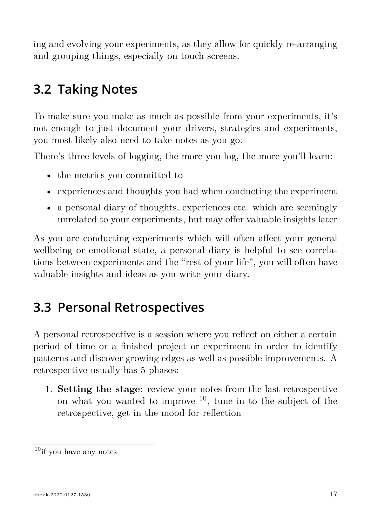<span id="page-17-0"></span>ing and evolving your experiments, as they allow for quickly re-arranging and grouping things, especially on touch screens.

### **3.2 Taking Notes**

<span id="page-17-1"></span>To make sure you make as much as possible from your experiments, it's not enough to just document your drivers, strategies and experiments, you most likely also need to take notes as you go.

There's three levels of logging, the more you log, the more you'll learn:

- the metrics you committed to
- experiences and thoughts you had when conducting the experiment
- a personal diary of thoughts, experiences etc. which are seemingly unrelated to your experiments, b[ut m](#page-17-2)ay offer valuable insights later

As you are conducting experiments which will often affect your general wellbeing or emotional state, a personal diary is helpful to see correlations between experiments and the "rest of your life", you will often have valuable insights and ideas as you write your diary.

### <span id="page-17-2"></span>**3.3 Personal Retrospectives**

A personal retrospective is a session where you reflect on either a certain period of time or a finished project or experiment in order to identify patterns and discover growing edges as well as possible improvements. A retrospective usually has 5 phases:

1. **Setting the stage**: review your notes from the last retrospective on what you wanted to improve  $10$ , tune in to the subject of the retrospective, get in the mood for reflection

 $10$ if you have any notes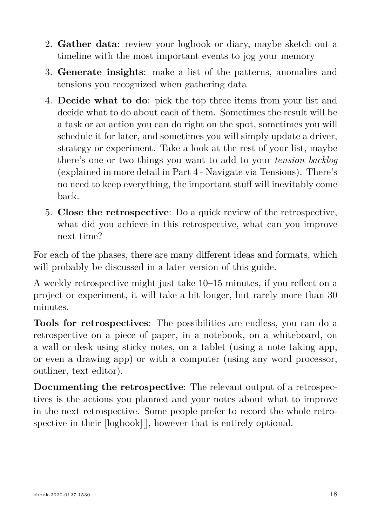- 2. **Gather data**: review your logbook or diary, maybe sketch out a timeline with the most important events to jog your memory
- 3. **Generate insights**: make a list of the patterns, anomalies and tensions you recognized when gathering data
- 4. **Decide what to do**: pick the top three items from your list and decide what to do about each of them. Sometimes the result will be a task or an action you can do right on the spot, sometimes you will schedule it for later, and sometimes you will simply update a driver, strategy or experiment. Take a look at the rest of your list, maybe there's one or two things you want to add to your *tension backlog* (explained in more detail in Part 4 - Navigate via Tensions). There's no need to keep everything, the important stuff will inevitably come back.
- 5. **Close the retrospective**: Do a quick review of the retrospective, what did you achieve in this retrospective, what can you improve next time?

For each of the phases, there are many different ideas and formats, which will probably be discussed in a later version of this guide.

A weekly retrospective might just take 10–15 minutes, if you reflect on a project or experiment, it will take a bit longer, but rarely more than 30 minutes.

**Tools for retrospectives**: The possibilities are endless, you can do a retrospective on a piece of paper, in a notebook, on a whiteboard, on a wall or desk using sticky notes, on a tablet (using a note taking app, or even a drawing app) or with a computer (using any word processor, outliner, text editor).

**Documenting the retrospective**: The relevant output of a retrospectives is the actions you planned and your notes about what to improve in the next retrospective. Some people prefer to record the whole retrospective in their [logbook][], however that is entirely optional.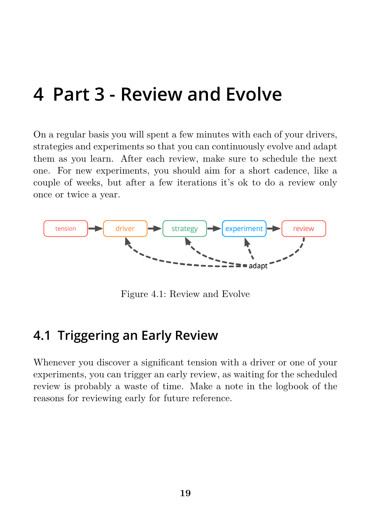## <span id="page-19-0"></span>**4 Part 3 - Review and Evolve**

On a regular basis you will spent a few minutes with each of your drivers, strategies and experiments so that you can continuously evolve and adapt them as you learn. After each review, make sure to schedule the next one. For new experiments, you should aim for a short cadence, like a couple of weeks, but after a few iterations it's ok to do a review only once or twice a year.



Figure 4.1: Review and Evolve

### <span id="page-19-1"></span>**4.1 Triggering an Early Review**

Whenever you discover a significant tension with a driver or one of your experiments, you can trigger an early review, as waiting for the scheduled review is probably a waste of time. Make a note in the logbook of the reasons for reviewing early for future reference.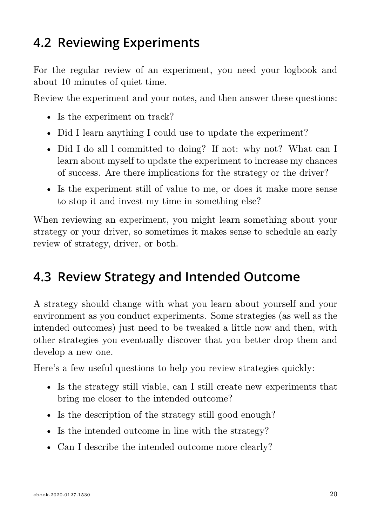### <span id="page-20-0"></span>**4.2 Reviewing Experiments**

For the regular review of an experiment, you need your logbook and about 10 minutes of quiet time.

Review the experiment and your notes, and then answer these questions:

- Is the experiment on track?
- Did I learn anything I could use to update the experiment?
- Did I do all l committed to doing? If not: why not? What can I learn about myself to update the experiment to increase my chances of success. Are there implications for the strategy or the driver?
- Is the experiment still of value to me, or does it make more sense to stop it and invest my time in something else?

When reviewing an experiment, you might learn something about your strategy or your driver, so sometimes it makes sense to schedule an early review of strategy, driver, or both.

### <span id="page-20-1"></span>**4.3 Review Strategy and Intended Outcome**

A strategy should change with what you learn about yourself and your environment as you conduct experiments. Some strategies (as well as the intended outcomes) just need to be tweaked a little now and then, with other strategies you eventually discover that you better drop them and develop a new one.

Here's a few useful questions to help you review strategies quickly:

- Is the strategy still viable, can I still create new experiments that bring me closer to the intended outcome?
- Is the description of the strategy still good enough?
- Is the intended outcome in line with the strategy?
- Can I describe the intended outcome more clearly?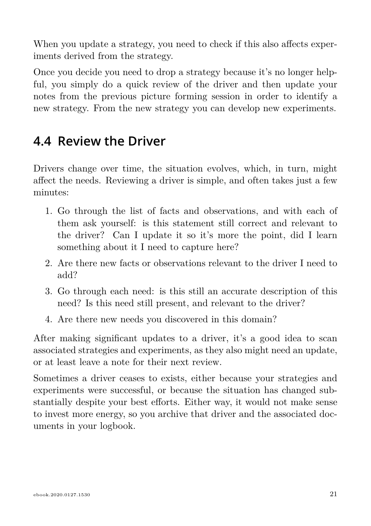When you update a strategy, you need to check if this also affects experiments derived from the strategy.

Once you decide you need to drop a strategy because it's no longer helpful, you simply do a quick review of the driver and then update your notes from the previous picture forming session in order to identify a new strategy. From the new strategy you can develop new experiments.

### <span id="page-21-0"></span>**4.4 Review the Driver**

Drivers change over time, the situation evolves, which, in turn, might affect the needs. Reviewing a driver is simple, and often takes just a few minutes:

- 1. Go through the list of facts and observations, and with each of them ask yourself: is this statement still correct and relevant to the driver? Can I update it so it's more the point, did I learn something about it I need to capture here?
- 2. Are there new facts or observations relevant to the driver I need to add?
- 3. Go through each need: is this still an accurate description of this need? Is this need still present, and relevant to the driver?
- 4. Are there new needs you discovered in this domain?

After making significant updates to a driver, it's a good idea to scan associated strategies and experiments, as they also might need an update, or at least leave a note for their next review.

Sometimes a driver ceases to exists, either because your strategies and experiments were successful, or because the situation has changed substantially despite your best efforts. Either way, it would not make sense to invest more energy, so you archive that driver and the associated documents in your logbook.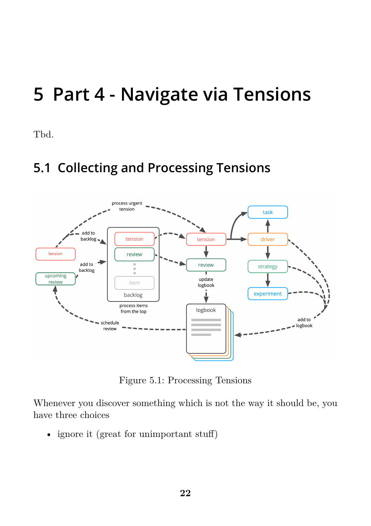## **5 Part 4 - Navigate via Tensions**

Tbd.

## **5.1 Collecting and Processing Tensions**



Figure 5.1: Processing Tensions

Whenever you discover something which is not the way it should be, you have three choices

• ignore it (great for unimportant stuff)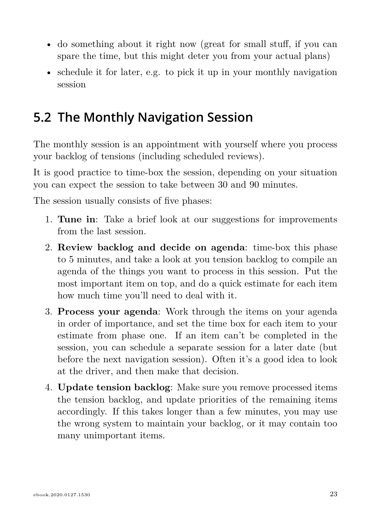- do something about it right now (great for small stuff, if you can spare the time, but this might deter you from your actual plans)
- schedule it for later, e.g. to pick it up in your monthly navigation session

### **5.2 The Monthly Navigation Session**

The monthly session is an appointment with yourself where you process your backlog of tensions (including scheduled reviews).

It is good practice to time-box the session, depending on your situation you can expect the session to take between 30 and 90 minutes.

The session usually consists of five phases:

- 1. **Tune in**: Take a brief look at our suggestions for improvements from the last session.
- 2. **Review backlog and decide on agenda**: time-box this phase to 5 minutes, and take a look at you tension backlog to compile an agenda of the things you want to process in this session. Put the most important item on top, and do a quick estimate for each item how much time you'll need to deal with it.
- 3. **Process your agenda**: Work through the items on your agenda in order of importance, and set the time box for each item to your estimate from phase one. If an item can't be completed in the session, you can schedule a separate session for a later date (but before the next navigation session). Often it's a good idea to look at the driver, and then make that decision.
- 4. **Update tension backlog**: Make sure you remove processed items the tension backlog, and update priorities of the remaining items accordingly. If this takes longer than a few minutes, you may use the wrong system to maintain your backlog, or it may contain too many unimportant items.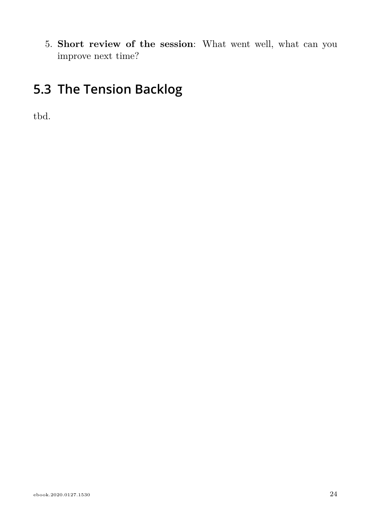5. **Short review of the session**: What went well, what can you improve next time?

## **5.3 The Tension Backlog**

tbd.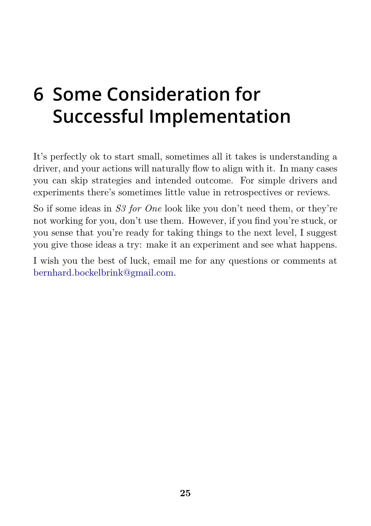## **[6 Some Conside](mailto:bernhard.bockelbrink@gmail.com)ration for Successful Implementation**

It's perfectly ok to start small, sometimes all it takes is understanding a driver, and your actions will naturally flow to align with it. In many cases you can skip strategies and intended outcome. For simple drivers and experiments there's sometimes little value in retrospectives or reviews.

So if some ideas in *S3 for One* look like you don't need them, or they're not working for you, don't use them. However, if you find you're stuck, or you sense that you're ready for taking things to the next level, I suggest you give those ideas a try: make it an experiment and see what happens.

I wish you the best of luck, email me for any questions or comments at bernhard.bockelbrink@gmail.com.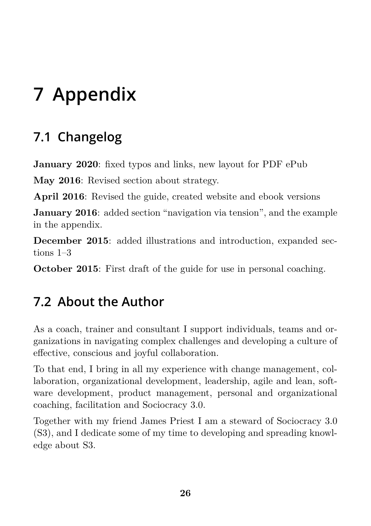# **7 Appendix**

## **7.1 Changelog**

**January 2020**: fixed typos and links, new layout for PDF ePub

**May 2016**: Revised section about strategy.

**April 2016**: Revised the guide, created website and ebook versions

**January 2016**: added section "navigation via tension", and the example in the appendix.

**December 2015**: added illustrations and introduction, expanded sections 1–3

**October 2015**: First draft of the guide for use in personal coaching.

## **7.2 About the Author**

As a coach, trainer and consultant I support individuals, teams and organizations in navigating complex challenges and developing a culture of effective, conscious and joyful collaboration.

To that end, I bring in all my experience with change management, collaboration, organizational development, leadership, agile and lean, software development, product management, personal and organizational coaching, facilitation and Sociocracy 3.0.

Together with my friend James Priest I am a steward of Sociocracy 3.0 (S3), and I dedicate some of my time to developing and spreading knowledge about S3.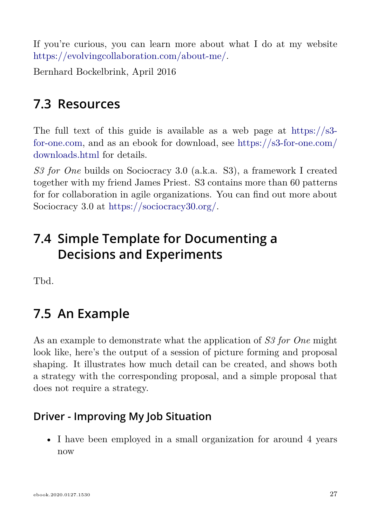If you're curious, you can learn more about what I do at my website https://evolvingcollaboration.com/about-me/.

Bernhard Bockelbrink, April 2016

### **7.3 Resources**

The full text of this guide is available as a web page at https://s3 for-one.com, and as an ebook for download, see https://s3-for-one.com/ downloads.html for details.

*S3 for One* builds on Sociocracy 3.0 (a.k.a. S3), a framework I created together with my friend James Priest. S3 contains more than 60 patterns for for collaboration in agile organizations. You can find out more about Sociocracy 3.0 at https://sociocracy30.org/.

### <span id="page-27-0"></span>**7.4 Simple Template for Documenting a Decisions and Experiments**

Tbd.

### **7.5 An Example**

As an example to demonstrate what the application of *S3 for One* might look like, here's the output of a session of picture forming and proposal shaping. It illustrates how much detail can be created, and shows both a strategy with the corresponding proposal, and a simple proposal that does not require a strategy.

#### **Driver - Improving My Job Situation**

• I have been employed in a small organization for around 4 years now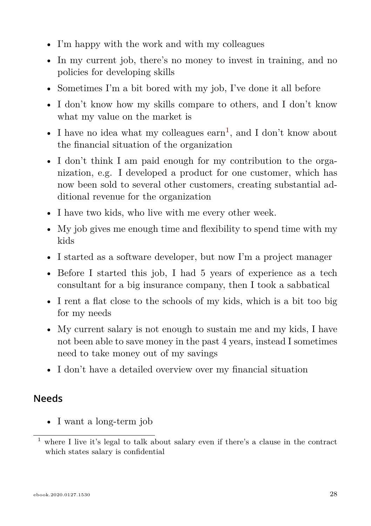- I'm happy with the work and with my colleagues
- In my current job, there's no money to invest in training, and no policies for developing skills
- Sometimes I'm a bit bored with my job, I've done it all before
- I don't know how my skills compare to others, and I don't know what my value on the market is
- I have no idea what my colleagues  $\arctan^1$ , and I don't know about the financial situation of the organization
- I don't think I am paid enough for my contribution to the organization, e.g. I developed a product for one customer, which has now been sold to several other customers, creating substantial additional revenue for the organization
- I have two kids, who live with me every other week.
- My job gives me enough time and flexibility to spend time with my kids
- I started as a software developer, but now I'm a project manager
- Before I started this job, I had 5 years of experience as a tech consultant for a big insurance company, then I took a sabbatical
- I rent a flat close to the schools of my kids, which is a bit too big for my needs
- My current salary is not enough to sustain me and my kids, I have not been able to save money in the past 4 years, instead I sometimes need to take money out of my savings
- I don't have a detailed overview over my financial situation

#### **Needs**

• I want a long-term job

<sup>1</sup> where I live it's legal to talk about salary even if there's a clause in the contract which states salary is confidential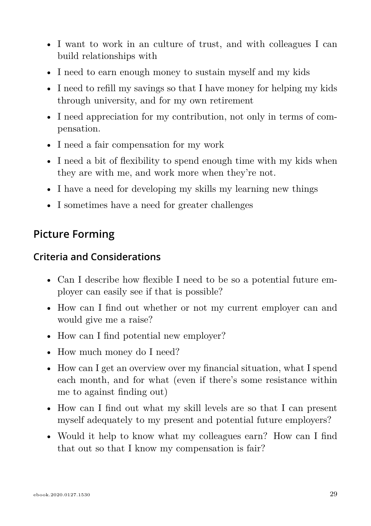- I want to work in an culture of trust, and with colleagues I can build relationships with
- I need to earn enough money to sustain myself and my kids
- I need to refill my savings so that I have money for helping my kids through university, and for my own retirement
- I need appreciation for my contribution, not only in terms of compensation.
- I need a fair compensation for my work
- I need a bit of flexibility to spend enough time with my kids when they are with me, and work more when they're not.
- I have a need for developing my skills my learning new things
- I sometimes have a need for greater challenges

### <span id="page-29-0"></span>**Picture Forming**

#### **Criteria and Considerations**

- Can I describe how flexible I need to be so a potential future employer can easily see if that is possible?
- How can I find out whether or not my current employer can and would give me a raise?
- How can I find potential new employer?
- How much money do I need?
- How can I get an overview over my financial situation, what I spend each month, and for what (even if there's some resistance within me to against finding out)
- How can I find out what my skill levels are so that I can present myself adequately to my present and potential future employers?
- Would it help to know what my colleagues earn? How can I find that out so that I know my compensation is fair?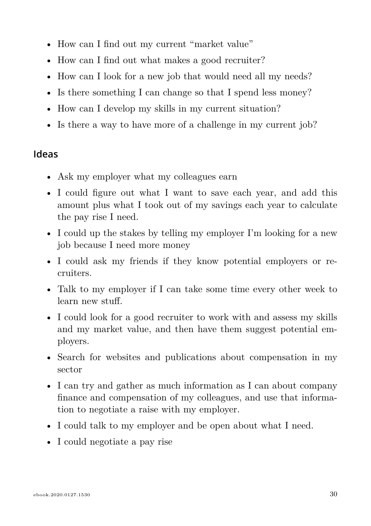- How can I find out my current "market value"
- How can I find out what makes a good recruiter?
- How can I look for a new job that would need all my needs?
- Is there something I can change so that I spend less money?
- How can I develop my skills in my current situation?
- Is there a way to have more of a challenge in my current job?

#### **Ideas**

- Ask my employer what my colleagues earn
- I could figure out what I want to save each year, and add this amount plus what I took out of my savings each year to calculate the pay rise I need.
- I could up the stakes by telling my employer I'm looking for a new job because I need more money
- I could ask my friends if they know potential employers or recruiters.
- Talk to my employer if I can take some time every other week to learn new stuff.
- I could look for a good recruiter to work with and assess my skills and my market value, and then have them suggest potential employers.
- Search for websites and publications about compensation in my sector
- I can try and gather as much information as I can about company finance and compensation of my colleagues, and use that information to negotiate a raise with my employer.
- I could talk to my employer and be open about what I need.
- I could negotiate a pay rise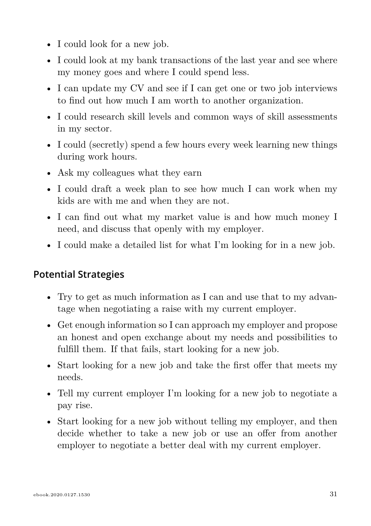- I could look for a new job.
- I could look at my bank transactions of the last year and see where my money goes and where I could spend less.
- I can update my CV and see if I can get one or two job interviews to find out how much I am worth to another organization.
- I could research skill levels and common ways of skill assessments in my sector.
- I could (secretly) spend a few hours every week learning new things during work hours.
- Ask my colleagues what they earn
- I could draft a week plan to see how much I can work when my kids are with me and when they are not.
- I can find out what my market value is and how much money I need, and discuss that openly with my employer.
- I could make a detailed list for what I'm looking for in a new job.

#### **Potential Strategies**

- Try to get as much information as I can and use that to my advantage when negotiating a raise with my current employer.
- Get enough information so I can approach my employer and propose an honest and open exchange about my needs and possibilities to fulfill them. If that fails, start looking for a new job.
- Start looking for a new job and take the first offer that meets my needs.
- Tell my current employer I'm looking for a new job to negotiate a pay rise.
- Start looking for a new job without telling my employer, and then decide whether to take a new job or use an offer from another employer to negotiate a better deal with my current employer.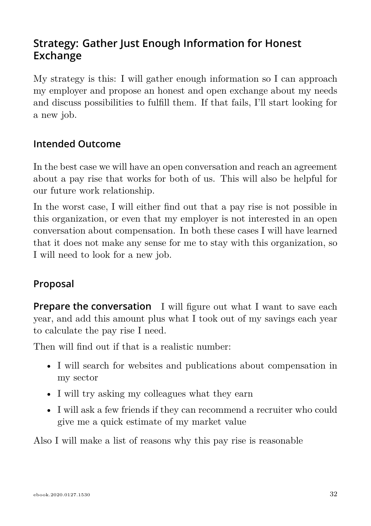### <span id="page-32-0"></span>**Strategy: Gather Just Enough Information for Honest Exchange**

My strategy is this: I will gather enough information so I can approach my employer and propose an honest and open exchange about my needs and discuss possibilities to fulfill them. If that fails, I'll start looking for a new job.

#### **Intended Outcome**

In the best case we will have an open conversation and reach an agreement about a pay rise that works for both of us. This will also be helpful for our future work relationship.

In the worst case, I will either find out that a pay rise is not possible in this organization, or even that my employer is not interested in an open conversation about compensation. In both these cases I will have learned that it does not make any sense for me to stay with this organization, so I will need to look for a new job.

#### **Proposal**

**Prepare the conversation** I will figure out what I want to save each year, and add this amount plus what I took out of my savings each year to calculate the pay rise I need.

Then will find out if that is a realistic number:

- I will search for websites and publications about compensation in my sector
- I will try asking my colleagues what they earn
- I will ask a few friends if they can recommend a recruiter who could give me a quick estimate of my market value

Also I will make a list of reasons why this pay rise is reasonable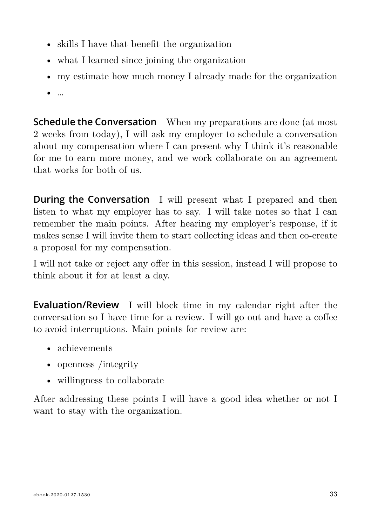- skills I have that benefit the organization
- what I learned since joining the organization
- my estimate how much money I already made for the organization
- …

**Schedule the Conversation** When my preparations are done (at most 2 weeks from today), I will ask my employer to schedule a conversation about my compensation where I can present why I think it's reasonable for me to earn more money, and we work collaborate on an agreement that works for both of us.

**During the Conversation** I will present what I prepared and then listen to what my employer has to say. I will take notes so that I can remember the main points. After hearing my employer's response, if it makes sense I will invite them to start collecting ideas and then co-create a proposal for my compensation.

I will not take or reject any offer in this session, instead I will propose to think about it for at least a day.

**Evaluation/Review** I will block time in my calendar right after the conversation so I have time for a review. I will go out and have a coffee to avoid interruptions. Main points for review are:

- achievements
- openness /integrity
- willingness to collaborate

After addressing these points I will have a good idea whether or not I want to stay with the organization.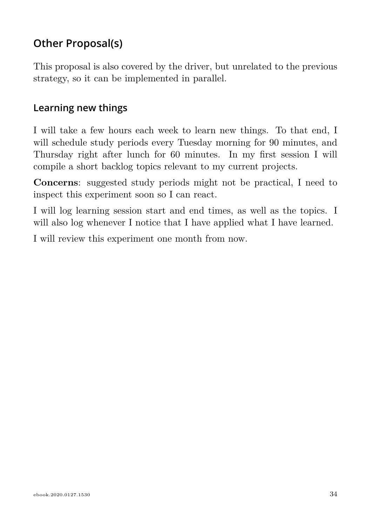### <span id="page-34-0"></span>**Other Proposal(s)**

This proposal is also covered by the driver, but unrelated to the previous strategy, so it can be implemented in parallel.

### **Learning new things**

I will take a few hours each week to learn new things. To that end, I will schedule study periods every Tuesday morning for 90 minutes, and Thursday right after lunch for 60 minutes. In my first session I will compile a short backlog topics relevant to my current projects.

**Concerns**: suggested study periods might not be practical, I need to inspect this experiment soon so I can react.

I will log learning session start and end times, as well as the topics. I will also log whenever I notice that I have applied what I have learned.

I will review this experiment one month from now.